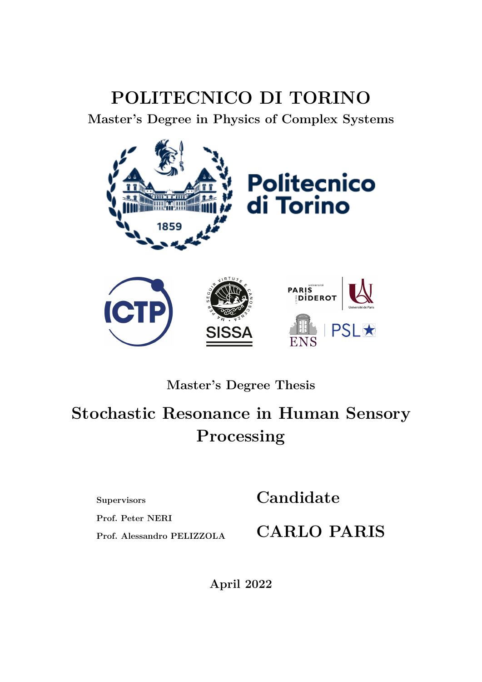### **POLITECNICO DI TORINO**

**Master's Degree in Physics of Complex Systems**



**Master's Degree Thesis**

## **Stochastic Resonance in Human Sensory Processing**

**Supervisors**

**Prof. Peter NERI**

**Candidate**

**Prof. Alessandro PELIZZOLA**

**CARLO PARIS**

**April 2022**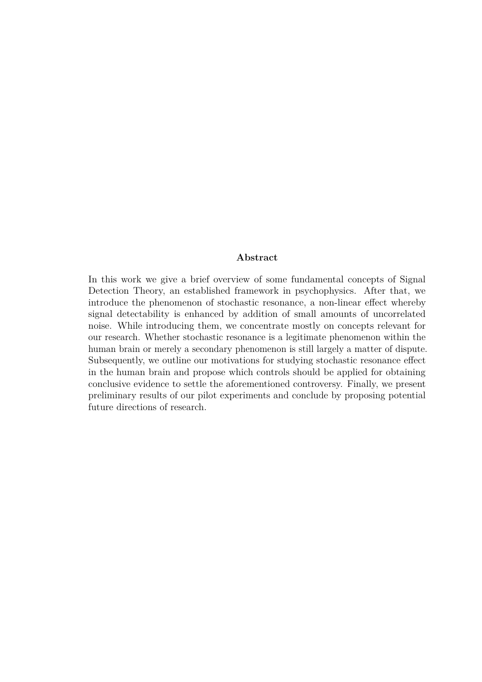#### **Abstract**

In this work we give a brief overview of some fundamental concepts of Signal Detection Theory, an established framework in psychophysics. After that, we introduce the phenomenon of stochastic resonance, a non-linear effect whereby signal detectability is enhanced by addition of small amounts of uncorrelated noise. While introducing them, we concentrate mostly on concepts relevant for our research. Whether stochastic resonance is a legitimate phenomenon within the human brain or merely a secondary phenomenon is still largely a matter of dispute. Subsequently, we outline our motivations for studying stochastic resonance effect in the human brain and propose which controls should be applied for obtaining conclusive evidence to settle the aforementioned controversy. Finally, we present preliminary results of our pilot experiments and conclude by proposing potential future directions of research.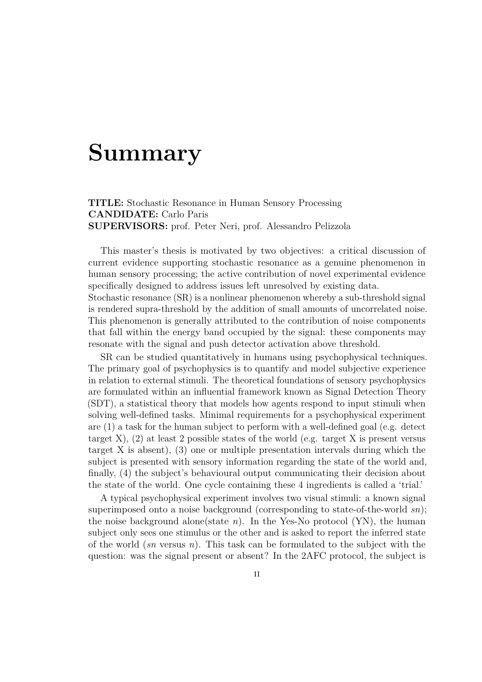## **Summary**

**TITLE:** Stochastic Resonance in Human Sensory Processing **CANDIDATE:** Carlo Paris **SUPERVISORS:** prof. Peter Neri, prof. Alessandro Pelizzola

This master's thesis is motivated by two objectives: a critical discussion of current evidence supporting stochastic resonance as a genuine phenomenon in human sensory processing; the active contribution of novel experimental evidence specifically designed to address issues left unresolved by existing data. Stochastic resonance (SR) is a nonlinear phenomenon whereby a sub-threshold signal is rendered supra-threshold by the addition of small amounts of uncorrelated noise. This phenomenon is generally attributed to the contribution of noise components that fall within the energy band occupied by the signal: these components may resonate with the signal and push detector activation above threshold.

SR can be studied quantitatively in humans using psychophysical techniques. The primary goal of psychophysics is to quantify and model subjective experience in relation to external stimuli. The theoretical foundations of sensory psychophysics are formulated within an influential framework known as Signal Detection Theory (SDT), a statistical theory that models how agents respond to input stimuli when solving well-defined tasks. Minimal requirements for a psychophysical experiment are (1) a task for the human subject to perform with a well-defined goal (e.g. detect target X),  $(2)$  at least 2 possible states of the world (e.g. target X is present versus target X is absent), (3) one or multiple presentation intervals during which the subject is presented with sensory information regarding the state of the world and, finally, (4) the subject's behavioural output communicating their decision about the state of the world. One cycle containing these 4 ingredients is called a 'trial.'

A typical psychophysical experiment involves two visual stimuli: a known signal superimposed onto a noise background (corresponding to state-of-the-world *sn*); the noise background alone(state  $n$ ). In the Yes-No protocol (YN), the human subject only sees one stimulus or the other and is asked to report the inferred state of the world (*sn* versus *n*). This task can be formulated to the subject with the question: was the signal present or absent? In the 2AFC protocol, the subject is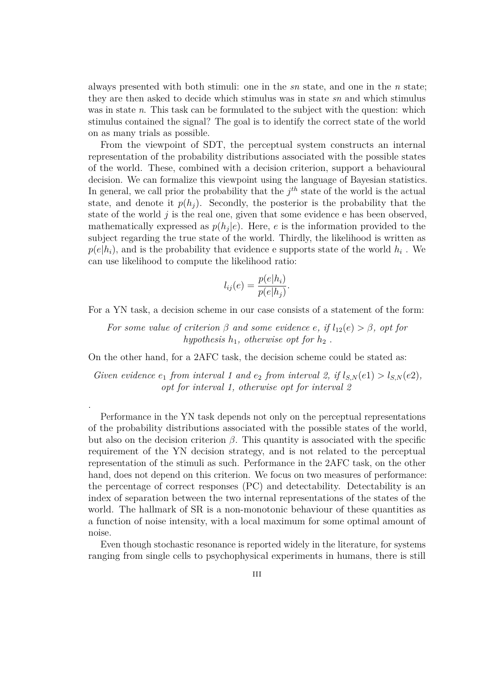always presented with both stimuli: one in the *sn* state, and one in the *n* state; they are then asked to decide which stimulus was in state *sn* and which stimulus was in state *n*. This task can be formulated to the subject with the question: which stimulus contained the signal? The goal is to identify the correct state of the world on as many trials as possible.

From the viewpoint of SDT, the perceptual system constructs an internal representation of the probability distributions associated with the possible states of the world. These, combined with a decision criterion, support a behavioural decision. We can formalize this viewpoint using the language of Bayesian statistics. In general, we call prior the probability that the  $j<sup>th</sup>$  state of the world is the actual state, and denote it  $p(h_i)$ . Secondly, the posterior is the probability that the state of the world *j* is the real one, given that some evidence e has been observed, mathematically expressed as  $p(h_j|e)$ . Here, *e* is the information provided to the subject regarding the true state of the world. Thirdly, the likelihood is written as  $p(e|h_i)$ , and is the probability that evidence e supports state of the world  $h_i$ . We can use likelihood to compute the likelihood ratio:

$$
l_{ij}(e) = \frac{p(e|h_i)}{p(e|h_j)}.
$$

For a YN task, a decision scheme in our case consists of a statement of the form:

*For some value of criterion*  $\beta$  *and some evidence e*, *if*  $l_{12}(e) > \beta$ , *opt for hypothesis*  $h_1$ *, otherwise opt for*  $h_2$ .

On the other hand, for a 2AFC task, the decision scheme could be stated as:

.

*Given evidence*  $e_1$  *from interval* 1 and  $e_2$  *from interval* 2, *if*  $l_{S,N}(e_1) > l_{S,N}(e_2)$ , *opt for interval 1, otherwise opt for interval 2*

Performance in the YN task depends not only on the perceptual representations of the probability distributions associated with the possible states of the world, but also on the decision criterion *β*. This quantity is associated with the specific requirement of the YN decision strategy, and is not related to the perceptual representation of the stimuli as such. Performance in the 2AFC task, on the other hand, does not depend on this criterion. We focus on two measures of performance: the percentage of correct responses (PC) and detectability. Detectability is an index of separation between the two internal representations of the states of the world. The hallmark of SR is a non-monotonic behaviour of these quantities as a function of noise intensity, with a local maximum for some optimal amount of noise.

Even though stochastic resonance is reported widely in the literature, for systems ranging from single cells to psychophysical experiments in humans, there is still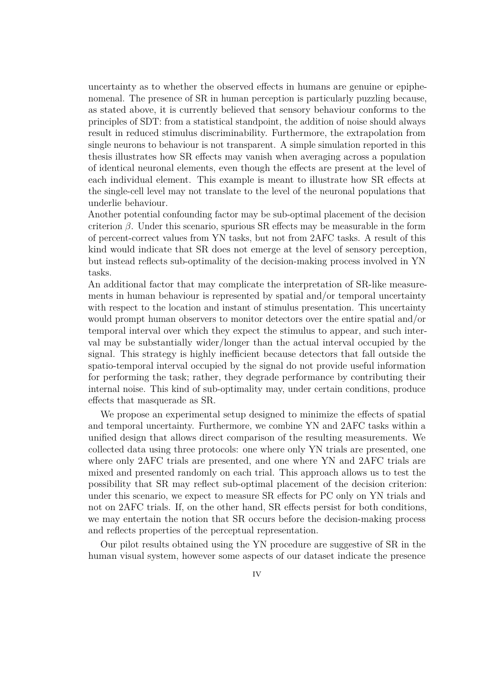uncertainty as to whether the observed effects in humans are genuine or epiphenomenal. The presence of SR in human perception is particularly puzzling because, as stated above, it is currently believed that sensory behaviour conforms to the principles of SDT: from a statistical standpoint, the addition of noise should always result in reduced stimulus discriminability. Furthermore, the extrapolation from single neurons to behaviour is not transparent. A simple simulation reported in this thesis illustrates how SR effects may vanish when averaging across a population of identical neuronal elements, even though the effects are present at the level of each individual element. This example is meant to illustrate how SR effects at the single-cell level may not translate to the level of the neuronal populations that underlie behaviour.

Another potential confounding factor may be sub-optimal placement of the decision criterion  $\beta$ . Under this scenario, spurious SR effects may be measurable in the form of percent-correct values from YN tasks, but not from 2AFC tasks. A result of this kind would indicate that SR does not emerge at the level of sensory perception, but instead reflects sub-optimality of the decision-making process involved in YN tasks.

An additional factor that may complicate the interpretation of SR-like measurements in human behaviour is represented by spatial and/or temporal uncertainty with respect to the location and instant of stimulus presentation. This uncertainty would prompt human observers to monitor detectors over the entire spatial and/or temporal interval over which they expect the stimulus to appear, and such interval may be substantially wider/longer than the actual interval occupied by the signal. This strategy is highly inefficient because detectors that fall outside the spatio-temporal interval occupied by the signal do not provide useful information for performing the task; rather, they degrade performance by contributing their internal noise. This kind of sub-optimality may, under certain conditions, produce effects that masquerade as SR.

We propose an experimental setup designed to minimize the effects of spatial and temporal uncertainty. Furthermore, we combine YN and 2AFC tasks within a unified design that allows direct comparison of the resulting measurements. We collected data using three protocols: one where only YN trials are presented, one where only 2AFC trials are presented, and one where YN and 2AFC trials are mixed and presented randomly on each trial. This approach allows us to test the possibility that SR may reflect sub-optimal placement of the decision criterion: under this scenario, we expect to measure SR effects for PC only on YN trials and not on 2AFC trials. If, on the other hand, SR effects persist for both conditions, we may entertain the notion that SR occurs before the decision-making process and reflects properties of the perceptual representation.

Our pilot results obtained using the YN procedure are suggestive of SR in the human visual system, however some aspects of our dataset indicate the presence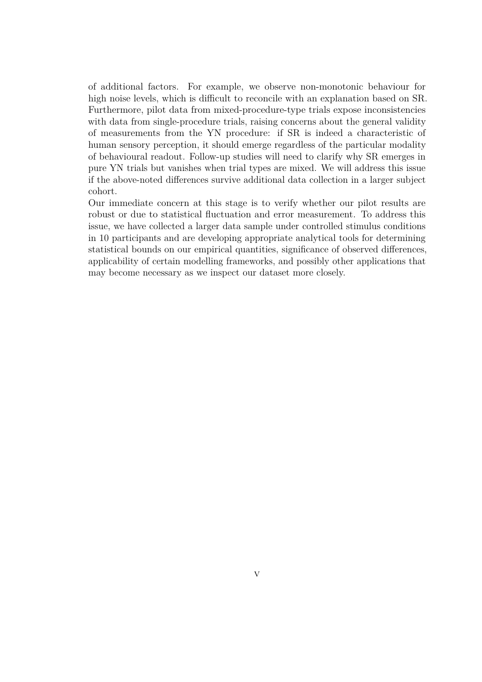of additional factors. For example, we observe non-monotonic behaviour for high noise levels, which is difficult to reconcile with an explanation based on SR. Furthermore, pilot data from mixed-procedure-type trials expose inconsistencies with data from single-procedure trials, raising concerns about the general validity of measurements from the YN procedure: if SR is indeed a characteristic of human sensory perception, it should emerge regardless of the particular modality of behavioural readout. Follow-up studies will need to clarify why SR emerges in pure YN trials but vanishes when trial types are mixed. We will address this issue if the above-noted differences survive additional data collection in a larger subject cohort.

Our immediate concern at this stage is to verify whether our pilot results are robust or due to statistical fluctuation and error measurement. To address this issue, we have collected a larger data sample under controlled stimulus conditions in 10 participants and are developing appropriate analytical tools for determining statistical bounds on our empirical quantities, significance of observed differences, applicability of certain modelling frameworks, and possibly other applications that may become necessary as we inspect our dataset more closely.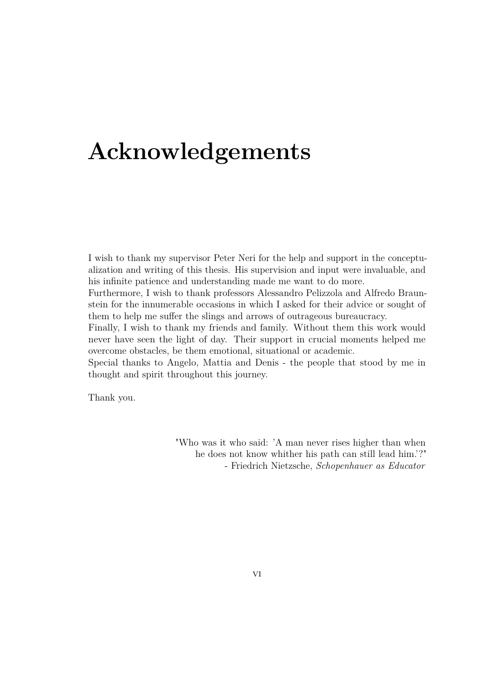## **Acknowledgements**

I wish to thank my supervisor Peter Neri for the help and support in the conceptualization and writing of this thesis. His supervision and input were invaluable, and his infinite patience and understanding made me want to do more.

Furthermore, I wish to thank professors Alessandro Pelizzola and Alfredo Braunstein for the innumerable occasions in which I asked for their advice or sought of them to help me suffer the slings and arrows of outrageous bureaucracy.

Finally, I wish to thank my friends and family. Without them this work would never have seen the light of day. Their support in crucial moments helped me overcome obstacles, be them emotional, situational or academic.

Special thanks to Angelo, Mattia and Denis - the people that stood by me in thought and spirit throughout this journey.

Thank you.

"Who was it who said: 'A man never rises higher than when he does not know whither his path can still lead him.'?" - Friedrich Nietzsche, *Schopenhauer as Educator*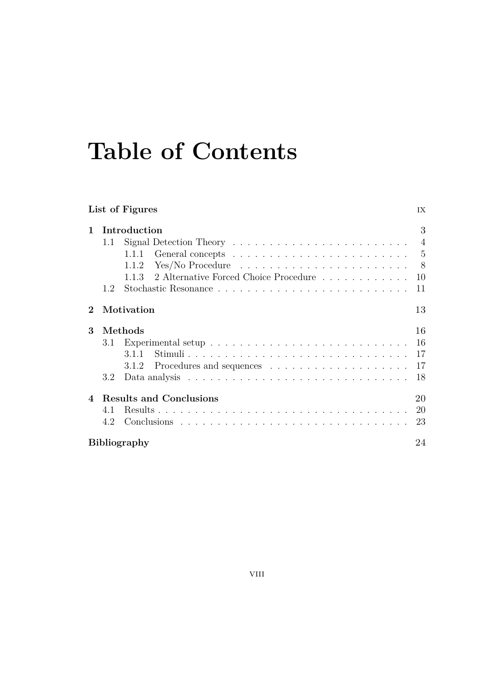## **Table of Contents**

| List of Figures             |                       |                                                                                                                                                                                                                                                                                                                                            |                            |  |
|-----------------------------|-----------------------|--------------------------------------------------------------------------------------------------------------------------------------------------------------------------------------------------------------------------------------------------------------------------------------------------------------------------------------------|----------------------------|--|
| 1                           | 1.1<br>1.2            | Introduction<br>Signal Detection Theory $\dots \dots \dots \dots \dots \dots \dots \dots \dots \dots$<br>General concepts $\dots \dots \dots \dots \dots \dots \dots \dots \dots \dots$<br>1.1.1<br>$Yes/No Procedure \dots \dots \dots \dots \dots \dots \dots \dots \dots \dots$<br>1.1.2<br>1.1.3 2 Alternative Forced Choice Procedure | 3<br>- 8<br>10<br>11       |  |
| $\mathcal{D}_{\mathcal{L}}$ |                       | Motivation                                                                                                                                                                                                                                                                                                                                 | 13                         |  |
| 3                           | Methods<br>3.1<br>3.2 | 3.1.1<br>3.1.2                                                                                                                                                                                                                                                                                                                             | 16<br>16<br>17<br>17<br>18 |  |
| $\overline{4}$              | 4.1<br>4.2            | <b>Results and Conclusions</b>                                                                                                                                                                                                                                                                                                             | 20<br><b>20</b><br>23      |  |
|                             | Bibliography          |                                                                                                                                                                                                                                                                                                                                            |                            |  |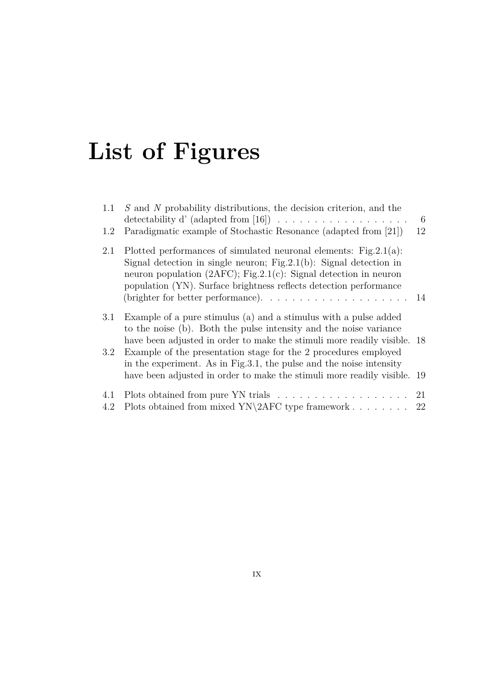# <span id="page-10-0"></span>**List of Figures**

| 1.1 | S and N probability distributions, the decision criterion, and the<br>detectability d' (adapted from [16]) $\ldots \ldots \ldots \ldots \ldots \ldots$                                                                                                                                                                                                                    | -6<br>12 |
|-----|---------------------------------------------------------------------------------------------------------------------------------------------------------------------------------------------------------------------------------------------------------------------------------------------------------------------------------------------------------------------------|----------|
| 1.2 | Paradigmatic example of Stochastic Resonance (adapted from [21])                                                                                                                                                                                                                                                                                                          |          |
| 2.1 | Plotted performances of simulated neuronal elements: $Fig.2.1(a)$ :<br>Signal detection in single neuron; Fig. 2.1(b): Signal detection in<br>neuron population $(2AFC)$ ; Fig.2.1(c): Signal detection in neuron<br>population (YN). Surface brightness reflects detection performance<br>(brighter for better performance). $\ldots \ldots \ldots \ldots \ldots \ldots$ | -14      |
|     |                                                                                                                                                                                                                                                                                                                                                                           |          |
| 3.1 | Example of a pure stimulus (a) and a stimulus with a pulse added<br>to the noise (b). Both the pulse intensity and the noise variance<br>have been adjusted in order to make the stimuli more readily visible. 18                                                                                                                                                         |          |
| 3.2 | Example of the presentation stage for the 2 procedures employed<br>in the experiment. As in Fig. 3.1, the pulse and the noise intensity                                                                                                                                                                                                                                   |          |
|     | have been adjusted in order to make the stimuli more readily visible. 19                                                                                                                                                                                                                                                                                                  |          |
| 4.1 |                                                                                                                                                                                                                                                                                                                                                                           | 21       |
| 4.2 | Plots obtained from mixed $YN\2AFC$ type framework                                                                                                                                                                                                                                                                                                                        | 22       |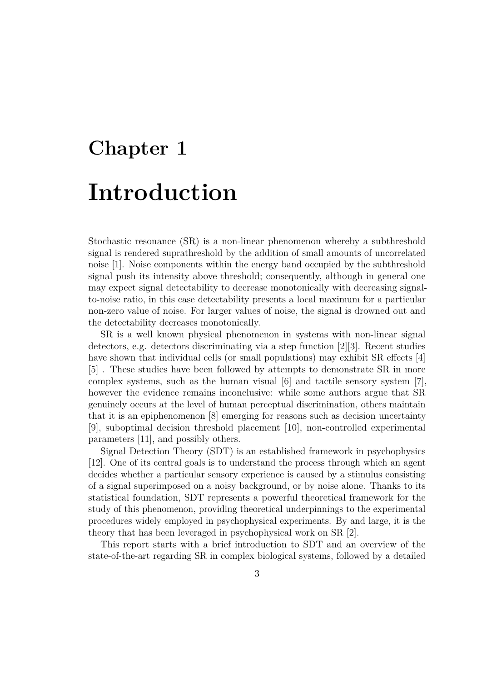# <span id="page-12-1"></span><span id="page-12-0"></span>**Chapter 1 Introduction**

Stochastic resonance (SR) is a non-linear phenomenon whereby a subthreshold signal is rendered suprathreshold by the addition of small amounts of uncorrelated noise [\[1\]](#page-33-0). Noise components within the energy band occupied by the subthreshold signal push its intensity above threshold; consequently, although in general one may expect signal detectability to decrease monotonically with decreasing signalto-noise ratio, in this case detectability presents a local maximum for a particular non-zero value of noise. For larger values of noise, the signal is drowned out and the detectability decreases monotonically.

SR is a well known physical phenomenon in systems with non-linear signal detectors, e.g. detectors discriminating via a step function [\[2\]](#page-33-1)[\[3\]](#page-33-2). Recent studies have shown that individual cells (or small populations) may exhibit SR effects [\[4\]](#page-33-3) [\[5\]](#page-33-4) . These studies have been followed by attempts to demonstrate SR in more complex systems, such as the human visual  $[6]$  and tactile sensory system  $[7]$ , however the evidence remains inconclusive: while some authors argue that SR genuinely occurs at the level of human perceptual discrimination, others maintain that it is an epiphenomenon [\[8\]](#page-34-1) emerging for reasons such as decision uncertainty [\[9\]](#page-34-2), suboptimal decision threshold placement [\[10\]](#page-34-3), non-controlled experimental parameters [\[11\]](#page-34-4), and possibly others.

Signal Detection Theory (SDT) is an established framework in psychophysics [\[12\]](#page-34-5). One of its central goals is to understand the process through which an agent decides whether a particular sensory experience is caused by a stimulus consisting of a signal superimposed on a noisy background, or by noise alone. Thanks to its statistical foundation, SDT represents a powerful theoretical framework for the study of this phenomenon, providing theoretical underpinnings to the experimental procedures widely employed in psychophysical experiments. By and large, it is the theory that has been leveraged in psychophysical work on SR [\[2\]](#page-33-1).

This report starts with a brief introduction to SDT and an overview of the state-of-the-art regarding SR in complex biological systems, followed by a detailed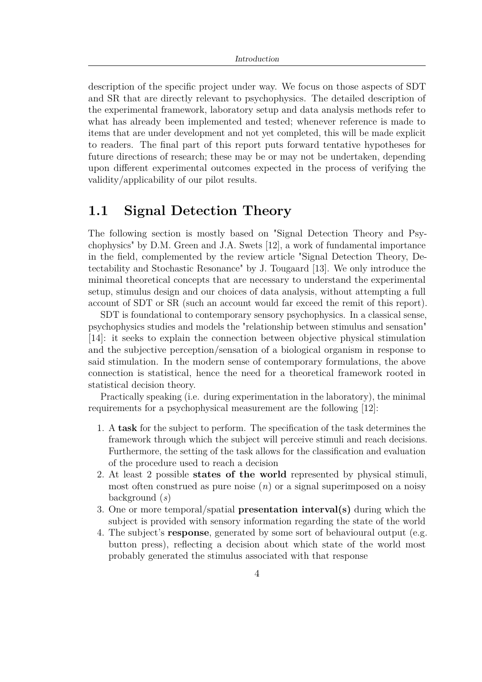<span id="page-13-1"></span>description of the specific project under way. We focus on those aspects of SDT and SR that are directly relevant to psychophysics. The detailed description of the experimental framework, laboratory setup and data analysis methods refer to what has already been implemented and tested; whenever reference is made to items that are under development and not yet completed, this will be made explicit to readers. The final part of this report puts forward tentative hypotheses for future directions of research; these may be or may not be undertaken, depending upon different experimental outcomes expected in the process of verifying the validity/applicability of our pilot results.

### <span id="page-13-0"></span>**1.1 Signal Detection Theory**

The following section is mostly based on "Signal Detection Theory and Psychophysics" by D.M. Green and J.A. Swets [\[12\]](#page-34-5), a work of fundamental importance in the field, complemented by the review article "Signal Detection Theory, Detectability and Stochastic Resonance" by J. Tougaard [\[13\]](#page-34-6). We only introduce the minimal theoretical concepts that are necessary to understand the experimental setup, stimulus design and our choices of data analysis, without attempting a full account of SDT or SR (such an account would far exceed the remit of this report).

SDT is foundational to contemporary sensory psychophysics. In a classical sense, psychophysics studies and models the "relationship between stimulus and sensation" [\[14\]](#page-34-7): it seeks to explain the connection between objective physical stimulation and the subjective perception/sensation of a biological organism in response to said stimulation. In the modern sense of contemporary formulations, the above connection is statistical, hence the need for a theoretical framework rooted in statistical decision theory.

Practically speaking (i.e. during experimentation in the laboratory), the minimal requirements for a psychophysical measurement are the following [\[12\]](#page-34-5):

- 1. A **task** for the subject to perform. The specification of the task determines the framework through which the subject will perceive stimuli and reach decisions. Furthermore, the setting of the task allows for the classification and evaluation of the procedure used to reach a decision
- 2. At least 2 possible **states of the world** represented by physical stimuli, most often construed as pure noise (*n*) or a signal superimposed on a noisy background (*s*)
- 3. One or more temporal/spatial **presentation interval(s)** during which the subject is provided with sensory information regarding the state of the world
- 4. The subject's **response**, generated by some sort of behavioural output (e.g. button press), reflecting a decision about which state of the world most probably generated the stimulus associated with that response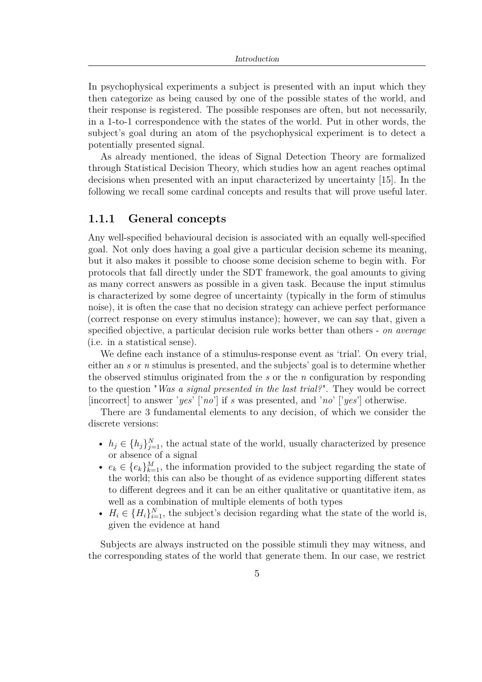<span id="page-14-1"></span>In psychophysical experiments a subject is presented with an input which they then categorize as being caused by one of the possible states of the world, and their response is registered. The possible responses are often, but not necessarily, in a 1-to-1 correspondence with the states of the world. Put in other words, the subject's goal during an atom of the psychophysical experiment is to detect a potentially presented signal.

As already mentioned, the ideas of Signal Detection Theory are formalized through Statistical Decision Theory, which studies how an agent reaches optimal decisions when presented with an input characterized by uncertainty [\[15\]](#page-34-8). In the following we recall some cardinal concepts and results that will prove useful later.

#### <span id="page-14-0"></span>**1.1.1 General concepts**

Any well-specified behavioural decision is associated with an equally well-specified goal. Not only does having a goal give a particular decision scheme its meaning, but it also makes it possible to choose some decision scheme to begin with. For protocols that fall directly under the SDT framework, the goal amounts to giving as many correct answers as possible in a given task. Because the input stimulus is characterized by some degree of uncertainty (typically in the form of stimulus noise), it is often the case that no decision strategy can achieve perfect performance (correct response on every stimulus instance); however, we can say that, given a specified objective, a particular decision rule works better than others - *on average* (i.e. in a statistical sense).

We define each instance of a stimulus-response event as 'trial'. On every trial, either an *s* or *n* stimulus is presented, and the subjects' goal is to determine whether the observed stimulus originated from the *s* or the *n* configuration by responding to the question "*Was a signal presented in the last trial?*". They would be correct [incorrect] to answer '*yes*' ['*no*'] if *s* was presented, and '*no*' ['*yes*'] otherwise.

There are 3 fundamental elements to any decision, of which we consider the discrete versions:

- $h_j \in \{h_j\}_{j=1}^N$ , the actual state of the world, usually characterized by presence or absence of a signal
- $e_k \in \{e_k\}_{k=1}^M$ , the information provided to the subject regarding the state of the world; this can also be thought of as evidence supporting different states to different degrees and it can be an either qualitative or quantitative item, as well as a combination of multiple elements of both types
- $H_i \in \{H_i\}_{i=1}^N$ , the subject's decision regarding what the state of the world is, given the evidence at hand

Subjects are always instructed on the possible stimuli they may witness, and the corresponding states of the world that generate them. In our case, we restrict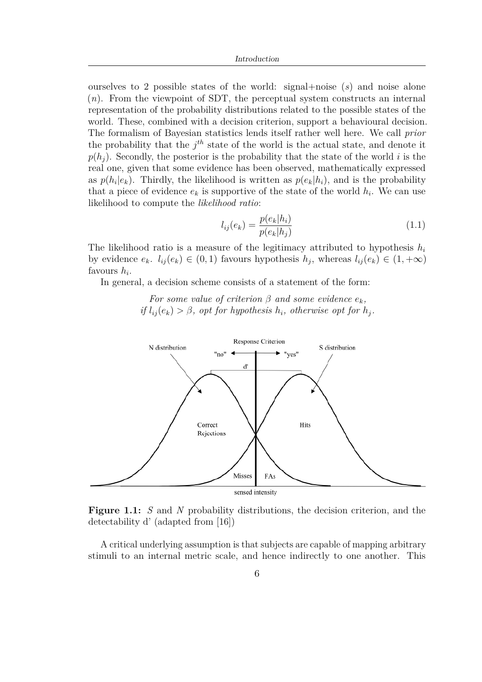<span id="page-15-1"></span>ourselves to 2 possible states of the world: signal+noise (*s*) and noise alone (*n*). From the viewpoint of SDT, the perceptual system constructs an internal representation of the probability distributions related to the possible states of the world. These, combined with a decision criterion, support a behavioural decision. The formalism of Bayesian statistics lends itself rather well here. We call *prior* the probability that the  $j<sup>th</sup>$  state of the world is the actual state, and denote it  $p(h_i)$ . Secondly, the posterior is the probability that the state of the world *i* is the real one, given that some evidence has been observed, mathematically expressed as  $p(h_i|e_k)$ . Thirdly, the likelihood is written as  $p(e_k|h_i)$ , and is the probability that a piece of evidence  $e_k$  is supportive of the state of the world  $h_i$ . We can use likelihood to compute the *likelihood ratio*:

$$
l_{ij}(e_k) = \frac{p(e_k|h_i)}{p(e_k|h_j)}
$$
\n
$$
(1.1)
$$

The likelihood ratio is a measure of the legitimacy attributed to hypothesis *h<sup>i</sup>* by evidence  $e_k$ .  $l_{ij}(e_k) \in (0,1)$  favours hypothesis  $h_j$ , whereas  $l_{ij}(e_k) \in (1,+\infty)$ favours *h<sup>i</sup>* .

In general, a decision scheme consists of a statement of the form:

*For some value of criterion*  $\beta$  *and some evidence*  $e_k$ *, if*  $l_{ij}(e_k) > \beta$ , *opt for hypothesis*  $h_i$ *, otherwise opt for*  $h_j$ *.* 

<span id="page-15-0"></span>

**Figure 1.1:** *S* and *N* probability distributions, the decision criterion, and the detectability d' (adapted from [\[16\]](#page-34-0))

A critical underlying assumption is that subjects are capable of mapping arbitrary stimuli to an internal metric scale, and hence indirectly to one another. This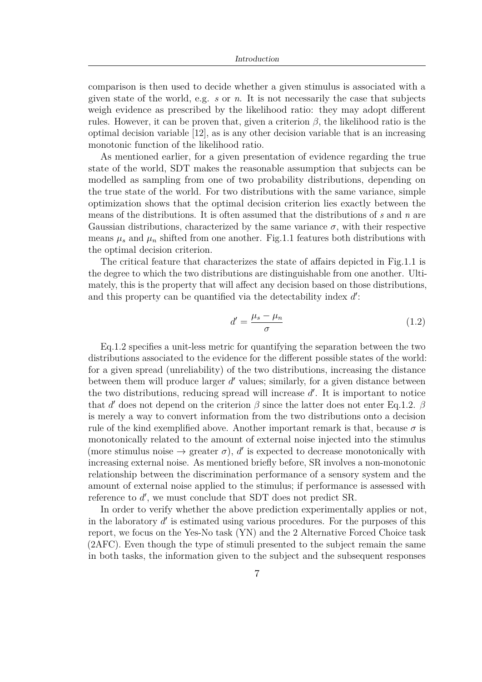<span id="page-16-1"></span>comparison is then used to decide whether a given stimulus is associated with a given state of the world, e.g. *s* or *n*. It is not necessarily the case that subjects weigh evidence as prescribed by the likelihood ratio: they may adopt different rules. However, it can be proven that, given a criterion  $\beta$ , the likelihood ratio is the optimal decision variable [\[12\]](#page-34-5), as is any other decision variable that is an increasing monotonic function of the likelihood ratio.

As mentioned earlier, for a given presentation of evidence regarding the true state of the world, SDT makes the reasonable assumption that subjects can be modelled as sampling from one of two probability distributions, depending on the true state of the world. For two distributions with the same variance, simple optimization shows that the optimal decision criterion lies exactly between the means of the distributions. It is often assumed that the distributions of *s* and *n* are Gaussian distributions, characterized by the same variance  $\sigma$ , with their respective means  $\mu_s$  and  $\mu_n$  shifted from one another. Fig[.1.1](#page-15-0) features both distributions with the optimal decision criterion.

The critical feature that characterizes the state of affairs depicted in Fig[.1.1](#page-15-0) is the degree to which the two distributions are distinguishable from one another. Ultimately, this is the property that will affect any decision based on those distributions, and this property can be quantified via the detectability index  $d'$ :

<span id="page-16-0"></span>
$$
d' = \frac{\mu_s - \mu_n}{\sigma} \tag{1.2}
$$

Eq[.1.2](#page-16-0) specifies a unit-less metric for quantifying the separation between the two distributions associated to the evidence for the different possible states of the world: for a given spread (unreliability) of the two distributions, increasing the distance between them will produce larger d' values; similarly, for a given distance between the two distributions, reducing spread will increase  $d'$ . It is important to notice that *d'* does not depend on the criterion  $\beta$  since the latter does not enter Eq[.1.2.](#page-16-0)  $\beta$ is merely a way to convert information from the two distributions onto a decision rule of the kind exemplified above. Another important remark is that, because  $\sigma$  is monotonically related to the amount of external noise injected into the stimulus (more stimulus noise  $\rightarrow$  greater  $\sigma$ ),  $d'$  is expected to decrease monotonically with increasing external noise. As mentioned briefly before, SR involves a non-monotonic relationship between the discrimination performance of a sensory system and the amount of external noise applied to the stimulus; if performance is assessed with reference to d', we must conclude that SDT does not predict SR.

In order to verify whether the above prediction experimentally applies or not, in the laboratory  $d'$  is estimated using various procedures. For the purposes of this report, we focus on the Yes-No task (YN) and the 2 Alternative Forced Choice task (2AFC). Even though the type of stimuli presented to the subject remain the same in both tasks, the information given to the subject and the subsequent responses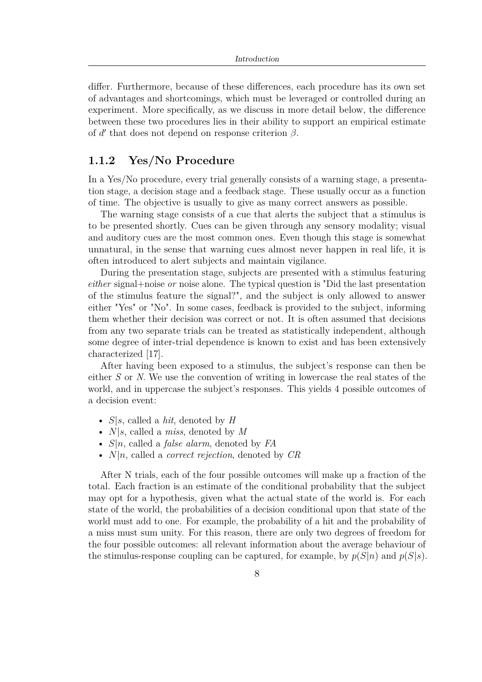<span id="page-17-1"></span>differ. Furthermore, because of these differences, each procedure has its own set of advantages and shortcomings, which must be leveraged or controlled during an experiment. More specifically, as we discuss in more detail below, the difference between these two procedures lies in their ability to support an empirical estimate of  $d'$  that does not depend on response criterion  $\beta$ .

### <span id="page-17-0"></span>**1.1.2 Yes/No Procedure**

In a Yes/No procedure, every trial generally consists of a warning stage, a presentation stage, a decision stage and a feedback stage. These usually occur as a function of time. The objective is usually to give as many correct answers as possible.

The warning stage consists of a cue that alerts the subject that a stimulus is to be presented shortly. Cues can be given through any sensory modality; visual and auditory cues are the most common ones. Even though this stage is somewhat unnatural, in the sense that warning cues almost never happen in real life, it is often introduced to alert subjects and maintain vigilance.

During the presentation stage, subjects are presented with a stimulus featuring *either* signal+noise *or* noise alone. The typical question is "Did the last presentation of the stimulus feature the signal?", and the subject is only allowed to answer either "Yes" or "No". In some cases, feedback is provided to the subject, informing them whether their decision was correct or not. It is often assumed that decisions from any two separate trials can be treated as statistically independent, although some degree of inter-trial dependence is known to exist and has been extensively characterized [\[17\]](#page-34-9).

After having been exposed to a stimulus, the subject's response can then be either *S* or *N*. We use the convention of writing in lowercase the real states of the world, and in uppercase the subject's responses. This yields 4 possible outcomes of a decision event:

- *S*|*s*, called a *hit*, denoted by *H*
- *N*|*s*, called a *miss*, denoted by *M*
- *S*|*n*, called a *false alarm*, denoted by *FA*
- *N*|*n*, called a *correct rejection*, denoted by *CR*

After N trials, each of the four possible outcomes will make up a fraction of the total. Each fraction is an estimate of the conditional probability that the subject may opt for a hypothesis, given what the actual state of the world is. For each state of the world, the probabilities of a decision conditional upon that state of the world must add to one. For example, the probability of a hit and the probability of a miss must sum unity. For this reason, there are only two degrees of freedom for the four possible outcomes: all relevant information about the average behaviour of the stimulus-response coupling can be captured, for example, by  $p(S|n)$  and  $p(S|s)$ .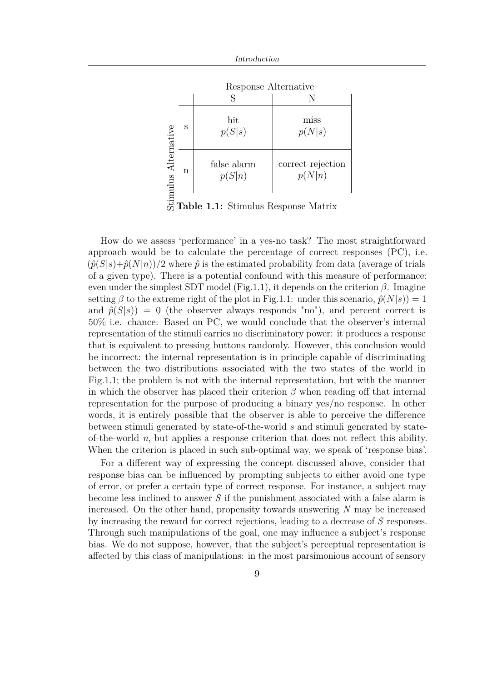

**Table 1.1:** Stimulus Response Matrix

How do we assess 'performance' in a yes-no task? The most straightforward approach would be to calculate the percentage of correct responses (PC), i.e.  $(\hat{p}(S|s)+\hat{p}(N|n))/2$  where  $\hat{p}$  is the estimated probability from data (average of trials of a given type). There is a potential confound with this measure of performance: even under the simplest SDT model (Fig[.1.1\)](#page-15-0), it depends on the criterion *β*. Imagine setting  $\beta$  to the extreme right of the plot in Fig[.1.1:](#page-15-0) under this scenario,  $\hat{p}(N|s) = 1$ and  $\hat{p}(S|s)$  = 0 (the observer always responds "no"), and percent correct is 50% i.e. chance. Based on PC, we would conclude that the observer's internal representation of the stimuli carries no discriminatory power: it produces a response that is equivalent to pressing buttons randomly. However, this conclusion would be incorrect: the internal representation is in principle capable of discriminating between the two distributions associated with the two states of the world in Fig[.1.1;](#page-15-0) the problem is not with the internal representation, but with the manner in which the observer has placed their criterion  $\beta$  when reading off that internal representation for the purpose of producing a binary yes/no response. In other words, it is entirely possible that the observer is able to perceive the difference between stimuli generated by state-of-the-world *s* and stimuli generated by stateof-the-world *n*, but applies a response criterion that does not reflect this ability. When the criterion is placed in such sub-optimal way, we speak of 'response bias'.

For a different way of expressing the concept discussed above, consider that response bias can be influenced by prompting subjects to either avoid one type of error, or prefer a certain type of correct response. For instance, a subject may become less inclined to answer *S* if the punishment associated with a false alarm is increased. On the other hand, propensity towards answering *N* may be increased by increasing the reward for correct rejections, leading to a decrease of *S* responses. Through such manipulations of the goal, one may influence a subject's response bias. We do not suppose, however, that the subject's perceptual representation is affected by this class of manipulations: in the most parsimonious account of sensory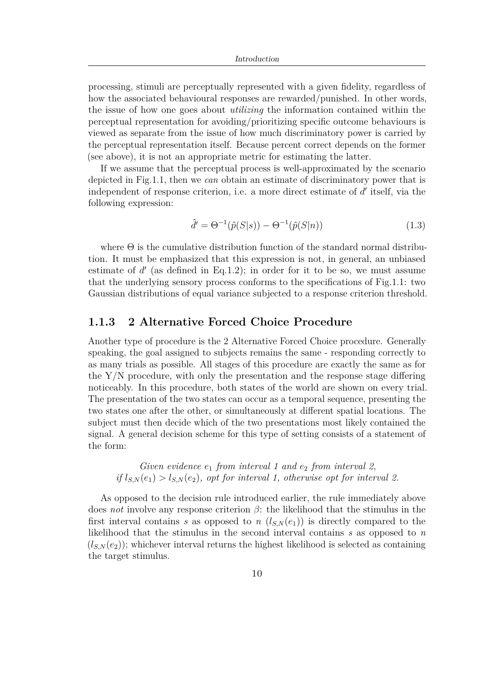processing, stimuli are perceptually represented with a given fidelity, regardless of how the associated behavioural responses are rewarded/punished. In other words, the issue of how one goes about *utilizing* the information contained within the perceptual representation for avoiding/prioritizing specific outcome behaviours is viewed as separate from the issue of how much discriminatory power is carried by the perceptual representation itself. Because percent correct depends on the former (see above), it is not an appropriate metric for estimating the latter.

If we assume that the perceptual process is well-approximated by the scenario depicted in Fig[.1.1,](#page-15-0) then we *can* obtain an estimate of discriminatory power that is independent of response criterion, i.e. a more direct estimate of d' itself, via the following expression:

$$
\hat{d}' = \Theta^{-1}(\hat{p}(S|s)) - \Theta^{-1}(\hat{p}(S|n))
$$
\n(1.3)

where  $\Theta$  is the cumulative distribution function of the standard normal distribution. It must be emphasized that this expression is not, in general, an unbiased estimate of  $d'$  (as defined in Eq[.1.2\)](#page-16-0); in order for it to be so, we must assume that the underlying sensory process conforms to the specifications of Fig[.1.1:](#page-15-0) two Gaussian distributions of equal variance subjected to a response criterion threshold.

### <span id="page-19-0"></span>**1.1.3 2 Alternative Forced Choice Procedure**

Another type of procedure is the 2 Alternative Forced Choice procedure. Generally speaking, the goal assigned to subjects remains the same - responding correctly to as many trials as possible. All stages of this procedure are exactly the same as for the Y/N procedure, with only the presentation and the response stage differing noticeably. In this procedure, both states of the world are shown on every trial. The presentation of the two states can occur as a temporal sequence, presenting the two states one after the other, or simultaneously at different spatial locations. The subject must then decide which of the two presentations most likely contained the signal. A general decision scheme for this type of setting consists of a statement of the form:

*Given evidence e*<sup>1</sup> *from interval 1 and e*<sup>2</sup> *from interval 2, if*  $l_{S,N}(e_1) > l_{S,N}(e_2)$ *, opt for interval 1, otherwise opt for interval 2.* 

As opposed to the decision rule introduced earlier, the rule immediately above does *not* involve any response criterion *β*: the likelihood that the stimulus in the first interval contains *s* as opposed to *n*  $(l_{S,N}(e_1))$  is directly compared to the likelihood that the stimulus in the second interval contains *s* as opposed to *n*  $(l_{S,N}(e_2))$ ; whichever interval returns the highest likelihood is selected as containing the target stimulus.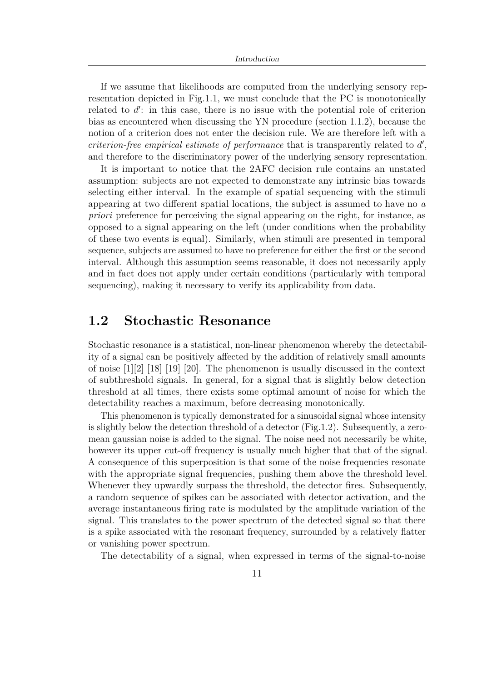Introduction

<span id="page-20-1"></span>If we assume that likelihoods are computed from the underlying sensory representation depicted in Fig[.1.1,](#page-15-0) we must conclude that the PC is monotonically related to  $d'$ : in this case, there is no issue with the potential role of criterion bias as encountered when discussing the YN procedure (section [1.1.2\)](#page-17-0), because the notion of a criterion does not enter the decision rule. We are therefore left with a *criterion-free empirical estimate of performance* that is transparently related to  $d'$ , and therefore to the discriminatory power of the underlying sensory representation.

It is important to notice that the 2AFC decision rule contains an unstated assumption: subjects are not expected to demonstrate any intrinsic bias towards selecting either interval. In the example of spatial sequencing with the stimuli appearing at two different spatial locations, the subject is assumed to have no *a priori* preference for perceiving the signal appearing on the right, for instance, as opposed to a signal appearing on the left (under conditions when the probability of these two events is equal). Similarly, when stimuli are presented in temporal sequence, subjects are assumed to have no preference for either the first or the second interval. Although this assumption seems reasonable, it does not necessarily apply and in fact does not apply under certain conditions (particularly with temporal sequencing), making it necessary to verify its applicability from data.

### <span id="page-20-0"></span>**1.2 Stochastic Resonance**

Stochastic resonance is a statistical, non-linear phenomenon whereby the detectability of a signal can be positively affected by the addition of relatively small amounts of noise [\[1\]](#page-33-0)[\[2\]](#page-33-1) [\[18\]](#page-34-10) [\[19\]](#page-34-11) [\[20\]](#page-35-1). The phenomenon is usually discussed in the context of subthreshold signals. In general, for a signal that is slightly below detection threshold at all times, there exists some optimal amount of noise for which the detectability reaches a maximum, before decreasing monotonically.

This phenomenon is typically demonstrated for a sinusoidal signal whose intensity is slightly below the detection threshold of a detector (Fig[.1.2\)](#page-21-0). Subsequently, a zeromean gaussian noise is added to the signal. The noise need not necessarily be white, however its upper cut-off frequency is usually much higher that that of the signal. A consequence of this superposition is that some of the noise frequencies resonate with the appropriate signal frequencies, pushing them above the threshold level. Whenever they upwardly surpass the threshold, the detector fires. Subsequently, a random sequence of spikes can be associated with detector activation, and the average instantaneous firing rate is modulated by the amplitude variation of the signal. This translates to the power spectrum of the detected signal so that there is a spike associated with the resonant frequency, surrounded by a relatively flatter or vanishing power spectrum.

The detectability of a signal, when expressed in terms of the signal-to-noise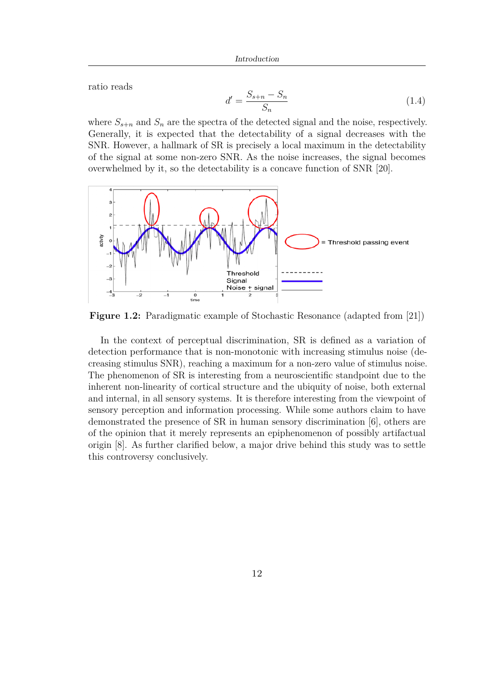<span id="page-21-1"></span>ratio reads

$$
d' = \frac{S_{s+n} - S_n}{S_n} \tag{1.4}
$$

where  $S_{s+n}$  and  $S_n$  are the spectra of the detected signal and the noise, respectively. Generally, it is expected that the detectability of a signal decreases with the SNR. However, a hallmark of SR is precisely a local maximum in the detectability of the signal at some non-zero SNR. As the noise increases, the signal becomes overwhelmed by it, so the detectability is a concave function of SNR [\[20\]](#page-35-1).

<span id="page-21-0"></span>

**Figure 1.2:** Paradigmatic example of Stochastic Resonance (adapted from [\[21\]](#page-35-0))

In the context of perceptual discrimination, SR is defined as a variation of detection performance that is non-monotonic with increasing stimulus noise (decreasing stimulus SNR), reaching a maximum for a non-zero value of stimulus noise. The phenomenon of SR is interesting from a neuroscientific standpoint due to the inherent non-linearity of cortical structure and the ubiquity of noise, both external and internal, in all sensory systems. It is therefore interesting from the viewpoint of sensory perception and information processing. While some authors claim to have demonstrated the presence of SR in human sensory discrimination [\[6\]](#page-33-5), others are of the opinion that it merely represents an epiphenomenon of possibly artifactual origin [\[8\]](#page-34-1). As further clarified below, a major drive behind this study was to settle this controversy conclusively.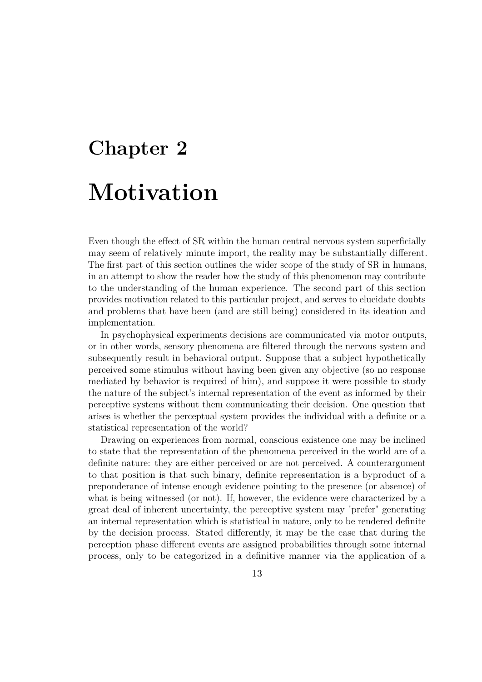# <span id="page-22-0"></span>**Chapter 2 Motivation**

Even though the effect of SR within the human central nervous system superficially may seem of relatively minute import, the reality may be substantially different. The first part of this section outlines the wider scope of the study of SR in humans, in an attempt to show the reader how the study of this phenomenon may contribute to the understanding of the human experience. The second part of this section provides motivation related to this particular project, and serves to elucidate doubts and problems that have been (and are still being) considered in its ideation and implementation.

In psychophysical experiments decisions are communicated via motor outputs, or in other words, sensory phenomena are filtered through the nervous system and subsequently result in behavioral output. Suppose that a subject hypothetically perceived some stimulus without having been given any objective (so no response mediated by behavior is required of him), and suppose it were possible to study the nature of the subject's internal representation of the event as informed by their perceptive systems without them communicating their decision. One question that arises is whether the perceptual system provides the individual with a definite or a statistical representation of the world?

Drawing on experiences from normal, conscious existence one may be inclined to state that the representation of the phenomena perceived in the world are of a definite nature: they are either perceived or are not perceived. A counterargument to that position is that such binary, definite representation is a byproduct of a preponderance of intense enough evidence pointing to the presence (or absence) of what is being witnessed (or not). If, however, the evidence were characterized by a great deal of inherent uncertainty, the perceptive system may "prefer" generating an internal representation which is statistical in nature, only to be rendered definite by the decision process. Stated differently, it may be the case that during the perception phase different events are assigned probabilities through some internal process, only to be categorized in a definitive manner via the application of a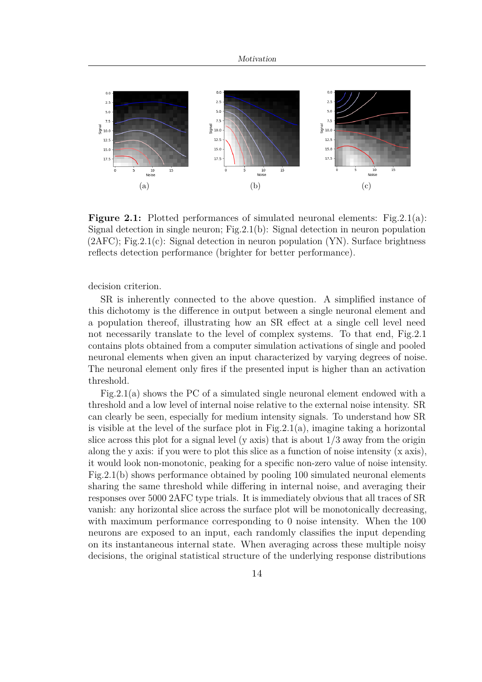<span id="page-23-1"></span><span id="page-23-0"></span>

<span id="page-23-3"></span><span id="page-23-2"></span>**Figure 2.1:** Plotted performances of simulated neuronal elements: Fig. 2.1(a): Signal detection in single neuron; Fig[.2.1\(b\):](#page-23-2) Signal detection in neuron population  $(2AFC)$ ; Fig[.2.1\(c\):](#page-23-3) Signal detection in neuron population  $(YN)$ . Surface brightness reflects detection performance (brighter for better performance).

decision criterion.

SR is inherently connected to the above question. A simplified instance of this dichotomy is the difference in output between a single neuronal element and a population thereof, illustrating how an SR effect at a single cell level need not necessarily translate to the level of complex systems. To that end, Fig[.2.1](#page-23-0) contains plots obtained from a computer simulation activations of single and pooled neuronal elements when given an input characterized by varying degrees of noise. The neuronal element only fires if the presented input is higher than an activation threshold.

Fig[.2.1\(a\)](#page-23-1) shows the PC of a simulated single neuronal element endowed with a threshold and a low level of internal noise relative to the external noise intensity. SR can clearly be seen, especially for medium intensity signals. To understand how SR is visible at the level of the surface plot in Fig. 2.1(a), imagine taking a horizontal slice across this plot for a signal level (y axis) that is about  $1/3$  away from the origin along the y axis: if you were to plot this slice as a function of noise intensity (x axis), it would look non-monotonic, peaking for a specific non-zero value of noise intensity. Fig[.2.1\(b\)](#page-23-2) shows performance obtained by pooling 100 simulated neuronal elements sharing the same threshold while differing in internal noise, and averaging their responses over 5000 2AFC type trials. It is immediately obvious that all traces of SR vanish: any horizontal slice across the surface plot will be monotonically decreasing, with maximum performance corresponding to 0 noise intensity. When the 100 neurons are exposed to an input, each randomly classifies the input depending on its instantaneous internal state. When averaging across these multiple noisy decisions, the original statistical structure of the underlying response distributions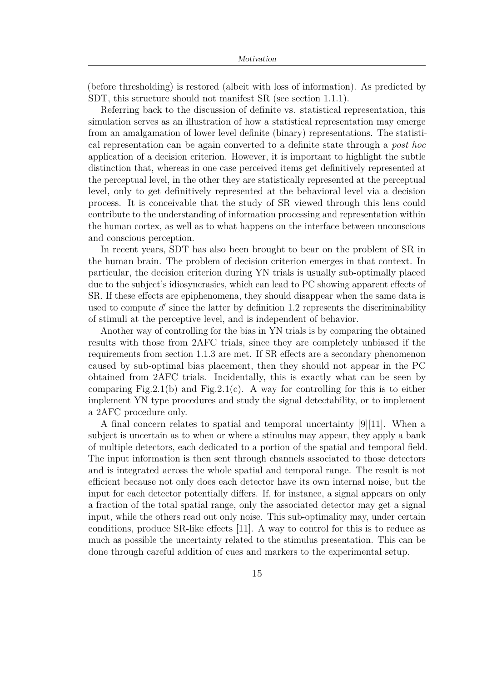<span id="page-24-0"></span>(before thresholding) is restored (albeit with loss of information). As predicted by SDT, this structure should not manifest SR (see section [1.1.1\)](#page-14-0).

Referring back to the discussion of definite vs. statistical representation, this simulation serves as an illustration of how a statistical representation may emerge from an amalgamation of lower level definite (binary) representations. The statistical representation can be again converted to a definite state through a *post hoc* application of a decision criterion. However, it is important to highlight the subtle distinction that, whereas in one case perceived items get definitively represented at the perceptual level, in the other they are statistically represented at the perceptual level, only to get definitively represented at the behavioral level via a decision process. It is conceivable that the study of SR viewed through this lens could contribute to the understanding of information processing and representation within the human cortex, as well as to what happens on the interface between unconscious and conscious perception.

In recent years, SDT has also been brought to bear on the problem of SR in the human brain. The problem of decision criterion emerges in that context. In particular, the decision criterion during YN trials is usually sub-optimally placed due to the subject's idiosyncrasies, which can lead to PC showing apparent effects of SR. If these effects are epiphenomena, they should disappear when the same data is used to compute  $d'$  since the latter by definition [1.2](#page-16-0) represents the discriminability of stimuli at the perceptive level, and is independent of behavior.

Another way of controlling for the bias in YN trials is by comparing the obtained results with those from 2AFC trials, since they are completely unbiased if the requirements from section [1.1.3](#page-19-0) are met. If SR effects are a secondary phenomenon caused by sub-optimal bias placement, then they should not appear in the PC obtained from 2AFC trials. Incidentally, this is exactly what can be seen by comparing Fig[.2.1\(b\)](#page-23-2) and Fig[.2.1\(c\).](#page-23-3) A way for controlling for this is to either implement YN type procedures and study the signal detectability, or to implement a 2AFC procedure only.

A final concern relates to spatial and temporal uncertainty [\[9\]](#page-34-2)[\[11\]](#page-34-4). When a subject is uncertain as to when or where a stimulus may appear, they apply a bank of multiple detectors, each dedicated to a portion of the spatial and temporal field. The input information is then sent through channels associated to those detectors and is integrated across the whole spatial and temporal range. The result is not efficient because not only does each detector have its own internal noise, but the input for each detector potentially differs. If, for instance, a signal appears on only a fraction of the total spatial range, only the associated detector may get a signal input, while the others read out only noise. This sub-optimality may, under certain conditions, produce SR-like effects [\[11\]](#page-34-4). A way to control for this is to reduce as much as possible the uncertainty related to the stimulus presentation. This can be done through careful addition of cues and markers to the experimental setup.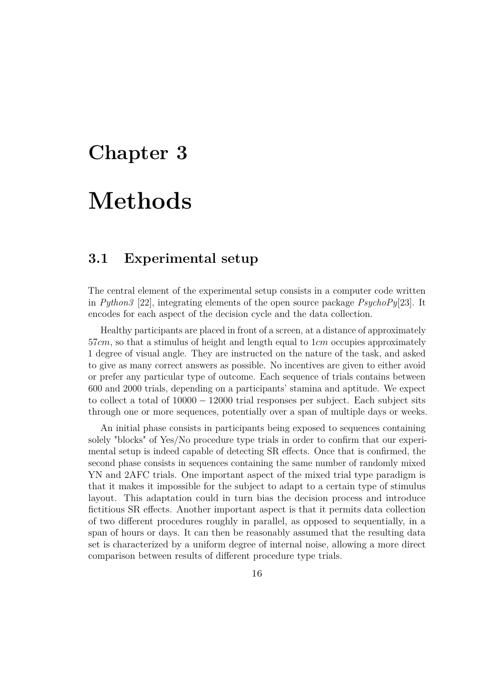### <span id="page-25-2"></span><span id="page-25-0"></span>**Chapter 3**

## **Methods**

### <span id="page-25-1"></span>**3.1 Experimental setup**

The central element of the experimental setup consists in a computer code written in *Python3* [\[22\]](#page-35-2), integrating elements of the open source package *PsychoPy*[\[23\]](#page-35-3). It encodes for each aspect of the decision cycle and the data collection.

Healthy participants are placed in front of a screen, at a distance of approximately 57*cm*, so that a stimulus of height and length equal to 1*cm* occupies approximately 1 degree of visual angle. They are instructed on the nature of the task, and asked to give as many correct answers as possible. No incentives are given to either avoid or prefer any particular type of outcome. Each sequence of trials contains between 600 and 2000 trials, depending on a participants' stamina and aptitude. We expect to collect a total of 10000 − 12000 trial responses per subject. Each subject sits through one or more sequences, potentially over a span of multiple days or weeks.

An initial phase consists in participants being exposed to sequences containing solely "blocks" of Yes/No procedure type trials in order to confirm that our experimental setup is indeed capable of detecting SR effects. Once that is confirmed, the second phase consists in sequences containing the same number of randomly mixed YN and 2AFC trials. One important aspect of the mixed trial type paradigm is that it makes it impossible for the subject to adapt to a certain type of stimulus layout. This adaptation could in turn bias the decision process and introduce fictitious SR effects. Another important aspect is that it permits data collection of two different procedures roughly in parallel, as opposed to sequentially, in a span of hours or days. It can then be reasonably assumed that the resulting data set is characterized by a uniform degree of internal noise, allowing a more direct comparison between results of different procedure type trials.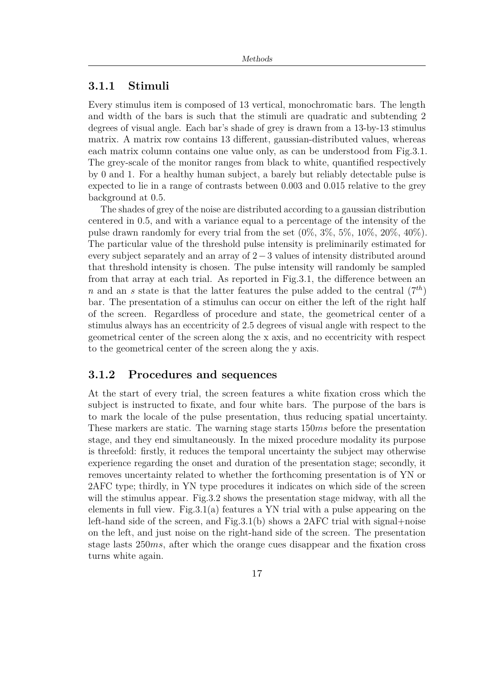### <span id="page-26-0"></span>**3.1.1 Stimuli**

Every stimulus item is composed of 13 vertical, monochromatic bars. The length and width of the bars is such that the stimuli are quadratic and subtending 2 degrees of visual angle. Each bar's shade of grey is drawn from a 13-by-13 stimulus matrix. A matrix row contains 13 different, gaussian-distributed values, whereas each matrix column contains one value only, as can be understood from Fig[.3.1.](#page-27-1) The grey-scale of the monitor ranges from black to white, quantified respectively by 0 and 1. For a healthy human subject, a barely but reliably detectable pulse is expected to lie in a range of contrasts between 0*.*003 and 0*.*015 relative to the grey background at 0*.*5.

The shades of grey of the noise are distributed according to a gaussian distribution centered in 0*.*5, and with a variance equal to a percentage of the intensity of the pulse drawn randomly for every trial from the set  $(0\%, 3\%, 5\%, 10\%, 20\%, 40\%).$ The particular value of the threshold pulse intensity is preliminarily estimated for every subject separately and an array of 2−3 values of intensity distributed around that threshold intensity is chosen. The pulse intensity will randomly be sampled from that array at each trial. As reported in Fig[.3.1,](#page-27-1) the difference between an *n* and an *s* state is that the latter features the pulse added to the central  $(7<sup>th</sup>)$ bar. The presentation of a stimulus can occur on either the left of the right half of the screen. Regardless of procedure and state, the geometrical center of a stimulus always has an eccentricity of 2*.*5 degrees of visual angle with respect to the geometrical center of the screen along the x axis, and no eccentricity with respect to the geometrical center of the screen along the y axis.

### <span id="page-26-1"></span>**3.1.2 Procedures and sequences**

At the start of every trial, the screen features a white fixation cross which the subject is instructed to fixate, and four white bars. The purpose of the bars is to mark the locale of the pulse presentation, thus reducing spatial uncertainty. These markers are static. The warning stage starts 150*ms* before the presentation stage, and they end simultaneously. In the mixed procedure modality its purpose is threefold: firstly, it reduces the temporal uncertainty the subject may otherwise experience regarding the onset and duration of the presentation stage; secondly, it removes uncertainty related to whether the forthcoming presentation is of YN or 2AFC type; thirdly, in YN type procedures it indicates on which side of the screen will the stimulus appear. Fig[.3.2](#page-28-0) shows the presentation stage midway, with all the elements in full view. Fig.  $3.1(a)$  features a YN trial with a pulse appearing on the left-hand side of the screen, and  $Fig.3.1(b)$  $Fig.3.1(b)$  shows a 2AFC trial with signal+noise on the left, and just noise on the right-hand side of the screen. The presentation stage lasts 250*ms*, after which the orange cues disappear and the fixation cross turns white again.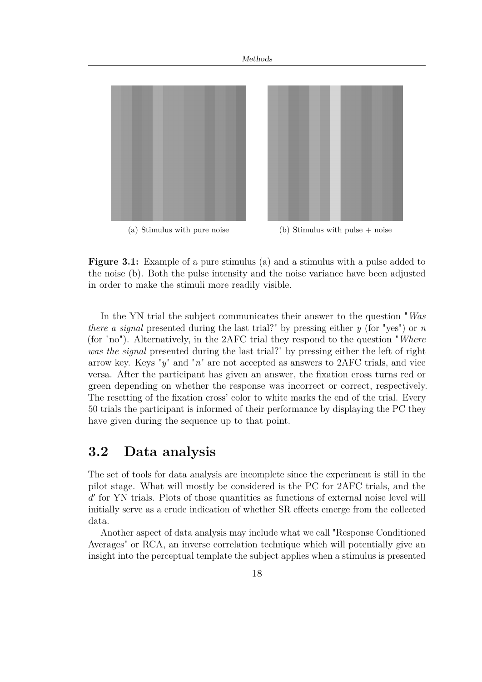<span id="page-27-2"></span><span id="page-27-1"></span>

<span id="page-27-3"></span>**Figure 3.1:** Example of a pure stimulus [\(a\)](#page-27-2) and a stimulus with a pulse added to the noise [\(b\).](#page-27-3) Both the pulse intensity and the noise variance have been adjusted in order to make the stimuli more readily visible.

In the YN trial the subject communicates their answer to the question "*Was there a signal* presented during the last trial?" by pressing either *y* (for "yes") or *n* (for "no"). Alternatively, in the 2AFC trial they respond to the question "*Where was the signal* presented during the last trial?" by pressing either the left of right arrow key. Keys "*y*" and "*n*" are not accepted as answers to 2AFC trials, and vice versa. After the participant has given an answer, the fixation cross turns red or green depending on whether the response was incorrect or correct, respectively. The resetting of the fixation cross' color to white marks the end of the trial. Every 50 trials the participant is informed of their performance by displaying the PC they have given during the sequence up to that point.

### <span id="page-27-0"></span>**3.2 Data analysis**

The set of tools for data analysis are incomplete since the experiment is still in the pilot stage. What will mostly be considered is the PC for 2AFC trials, and the d' for YN trials. Plots of those quantities as functions of external noise level will initially serve as a crude indication of whether SR effects emerge from the collected data.

Another aspect of data analysis may include what we call "Response Conditioned Averages" or RCA, an inverse correlation technique which will potentially give an insight into the perceptual template the subject applies when a stimulus is presented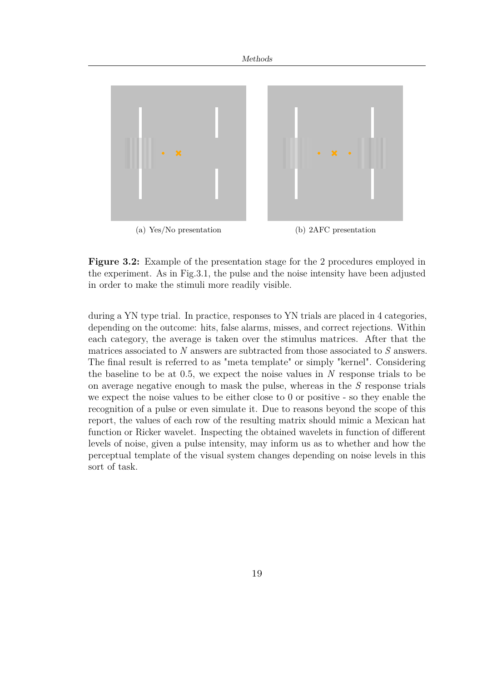<span id="page-28-0"></span>

**Figure 3.2:** Example of the presentation stage for the 2 procedures employed in the experiment. As in Fig[.3.1,](#page-27-1) the pulse and the noise intensity have been adjusted in order to make the stimuli more readily visible.

during a YN type trial. In practice, responses to YN trials are placed in 4 categories, depending on the outcome: hits, false alarms, misses, and correct rejections. Within each category, the average is taken over the stimulus matrices. After that the matrices associated to *N* answers are subtracted from those associated to *S* answers. The final result is referred to as "meta template" or simply "kernel". Considering the baseline to be at 0*.*5, we expect the noise values in *N* response trials to be on average negative enough to mask the pulse, whereas in the *S* response trials we expect the noise values to be either close to 0 or positive - so they enable the recognition of a pulse or even simulate it. Due to reasons beyond the scope of this report, the values of each row of the resulting matrix should mimic a Mexican hat function or Ricker wavelet. Inspecting the obtained wavelets in function of different levels of noise, given a pulse intensity, may inform us as to whether and how the perceptual template of the visual system changes depending on noise levels in this sort of task.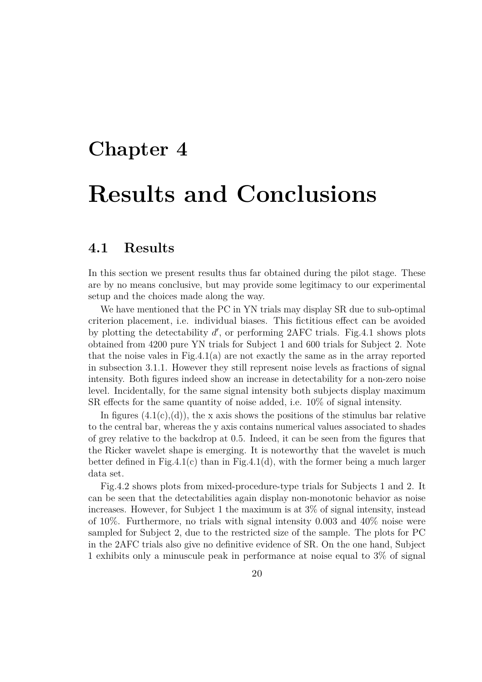## <span id="page-29-0"></span>**Chapter 4**

## **Results and Conclusions**

### <span id="page-29-1"></span>**4.1 Results**

In this section we present results thus far obtained during the pilot stage. These are by no means conclusive, but may provide some legitimacy to our experimental setup and the choices made along the way.

We have mentioned that the PC in YN trials may display SR due to sub-optimal criterion placement, i.e. individual biases. This fictitious effect can be avoided by plotting the detectability  $d'$ , or performing 2AFC trials. Fig[.4.1](#page-30-0) shows plots obtained from 4200 pure YN trials for Subject 1 and 600 trials for Subject 2. Note that the noise vales in Fig[.4.1\(a\)](#page-30-1) are not exactly the same as in the array reported in subsection [3.1.1.](#page-26-0) However they still represent noise levels as fractions of signal intensity. Both figures indeed show an increase in detectability for a non-zero noise level. Incidentally, for the same signal intensity both subjects display maximum SR effects for the same quantity of noise added, i.e. 10% of signal intensity.

In figures  $(4.1(c), (d))$  $(4.1(c), (d))$  $(4.1(c), (d))$ , the x axis shows the positions of the stimulus bar relative to the central bar, whereas the y axis contains numerical values associated to shades of grey relative to the backdrop at 0*.*5. Indeed, it can be seen from the figures that the Ricker wavelet shape is emerging. It is noteworthy that the wavelet is much better defined in Fig[.4.1\(c\)](#page-30-2) than in Fig[.4.1\(d\),](#page-30-3) with the former being a much larger data set.

Fig[.4.2](#page-31-0) shows plots from mixed-procedure-type trials for Subjects 1 and 2. It can be seen that the detectabilities again display non-monotonic behavior as noise increases. However, for Subject 1 the maximum is at 3% of signal intensity, instead of 10%. Furthermore, no trials with signal intensity 0*.*003 and 40% noise were sampled for Subject 2, due to the restricted size of the sample. The plots for PC in the 2AFC trials also give no definitive evidence of SR. On the one hand, Subject 1 exhibits only a minuscule peak in performance at noise equal to 3% of signal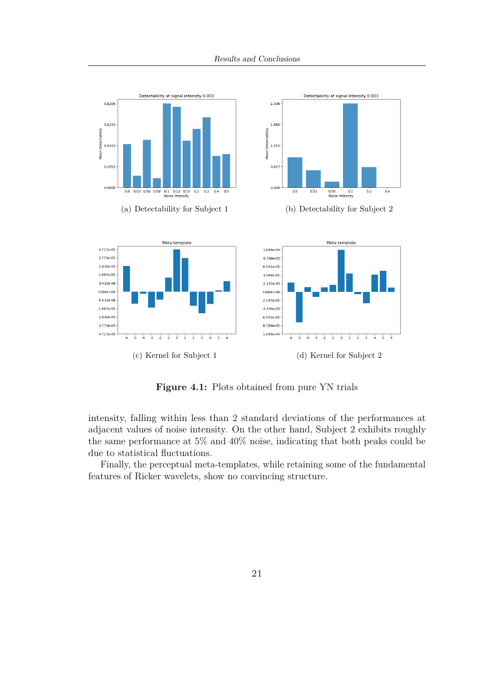<span id="page-30-2"></span><span id="page-30-1"></span><span id="page-30-0"></span>

<span id="page-30-3"></span>**Figure 4.1:** Plots obtained from pure YN trials

intensity, falling within less than 2 standard deviations of the performances at adjacent values of noise intensity. On the other hand, Subject 2 exhibits roughly the same performance at 5% and 40% noise, indicating that both peaks could be due to statistical fluctuations.

Finally, the perceptual meta-templates, while retaining some of the fundamental features of Ricker wavelets, show no convincing structure.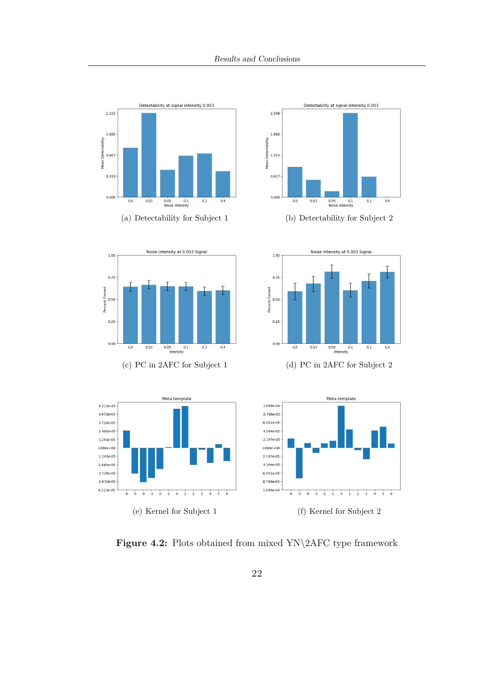<span id="page-31-0"></span>



(a) Detectability for Subject 1 (b) Detectability for Subject 2





(c) PC in 2AFC for Subject 1 (d) PC in 2AFC for Subject 2



**Figure 4.2:** Plots obtained from mixed YN\2AFC type framework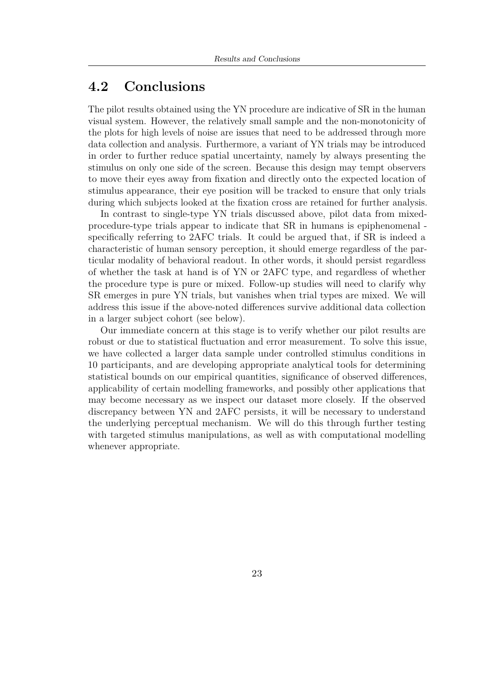### <span id="page-32-0"></span>**4.2 Conclusions**

The pilot results obtained using the YN procedure are indicative of SR in the human visual system. However, the relatively small sample and the non-monotonicity of the plots for high levels of noise are issues that need to be addressed through more data collection and analysis. Furthermore, a variant of YN trials may be introduced in order to further reduce spatial uncertainty, namely by always presenting the stimulus on only one side of the screen. Because this design may tempt observers to move their eyes away from fixation and directly onto the expected location of stimulus appearance, their eye position will be tracked to ensure that only trials during which subjects looked at the fixation cross are retained for further analysis.

In contrast to single-type YN trials discussed above, pilot data from mixedprocedure-type trials appear to indicate that SR in humans is epiphenomenal specifically referring to 2AFC trials. It could be argued that, if SR is indeed a characteristic of human sensory perception, it should emerge regardless of the particular modality of behavioral readout. In other words, it should persist regardless of whether the task at hand is of YN or 2AFC type, and regardless of whether the procedure type is pure or mixed. Follow-up studies will need to clarify why SR emerges in pure YN trials, but vanishes when trial types are mixed. We will address this issue if the above-noted differences survive additional data collection in a larger subject cohort (see below).

Our immediate concern at this stage is to verify whether our pilot results are robust or due to statistical fluctuation and error measurement. To solve this issue, we have collected a larger data sample under controlled stimulus conditions in 10 participants, and are developing appropriate analytical tools for determining statistical bounds on our empirical quantities, significance of observed differences, applicability of certain modelling frameworks, and possibly other applications that may become necessary as we inspect our dataset more closely. If the observed discrepancy between YN and 2AFC persists, it will be necessary to understand the underlying perceptual mechanism. We will do this through further testing with targeted stimulus manipulations, as well as with computational modelling whenever appropriate.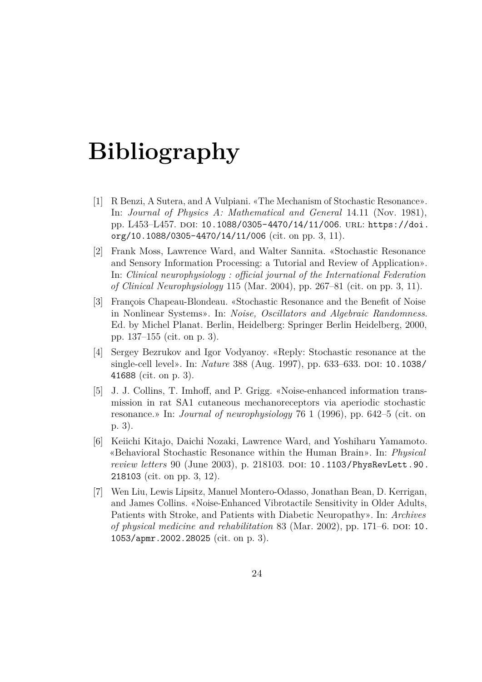## **Bibliography**

- <span id="page-33-0"></span>[1] R Benzi, A Sutera, and A Vulpiani. «The Mechanism of Stochastic Resonance». In: *Journal of Physics A: Mathematical and General* 14.11 (Nov. 1981), pp. L453–L457. poi: 10.1088/0305–4470/14/11/006. url: [https://doi.](https://doi.org/10.1088/0305-4470/14/11/006) [org/10.1088/0305-4470/14/11/006](https://doi.org/10.1088/0305-4470/14/11/006) (cit. on pp. [3,](#page-12-1) [11\)](#page-20-1).
- <span id="page-33-1"></span>[2] Frank Moss, Lawrence Ward, and Walter Sannita. «Stochastic Resonance and Sensory Information Processing: a Tutorial and Review of Application». In: *Clinical neurophysiology : official journal of the International Federation of Clinical Neurophysiology* 115 (Mar. 2004), pp. 267–81 (cit. on pp. [3,](#page-12-1) [11\)](#page-20-1).
- <span id="page-33-2"></span>[3] François Chapeau-Blondeau. «Stochastic Resonance and the Benefit of Noise in Nonlinear Systems». In: *Noise, Oscillators and Algebraic Randomness*. Ed. by Michel Planat. Berlin, Heidelberg: Springer Berlin Heidelberg, 2000, pp. 137–155 (cit. on p. [3\)](#page-12-1).
- <span id="page-33-3"></span>[4] Sergey Bezrukov and Igor Vodyanoy. «Reply: Stochastic resonance at the single-cell level». In: *Nature* 388 (Aug. 1997), pp. 633–633. DOI: [10.1038/](https://doi.org/10.1038/41688) [41688](https://doi.org/10.1038/41688) (cit. on p. [3\)](#page-12-1).
- <span id="page-33-4"></span>[5] J. J. Collins, T. Imhoff, and P. Grigg. «Noise-enhanced information transmission in rat SA1 cutaneous mechanoreceptors via aperiodic stochastic resonance.» In: *Journal of neurophysiology* 76 1 (1996), pp. 642–5 (cit. on p. [3\)](#page-12-1).
- <span id="page-33-5"></span>[6] Keiichi Kitajo, Daichi Nozaki, Lawrence Ward, and Yoshiharu Yamamoto. «Behavioral Stochastic Resonance within the Human Brain». In: *Physical review letters* 90 (June 2003), p. 218103. DOI: [10.1103/PhysRevLett.90.](https://doi.org/10.1103/PhysRevLett.90.218103) [218103](https://doi.org/10.1103/PhysRevLett.90.218103) (cit. on pp. [3,](#page-12-1) [12\)](#page-21-1).
- <span id="page-33-6"></span>[7] Wen Liu, Lewis Lipsitz, Manuel Montero-Odasso, Jonathan Bean, D. Kerrigan, and James Collins. «Noise-Enhanced Vibrotactile Sensitivity in Older Adults, Patients with Stroke, and Patients with Diabetic Neuropathy». In: *Archives of physical medicine and rehabilitation* 83 (Mar. 2002), pp. 171–6. DOI: [10.](https://doi.org/10.1053/apmr.2002.28025) [1053/apmr.2002.28025](https://doi.org/10.1053/apmr.2002.28025) (cit. on p. [3\)](#page-12-1).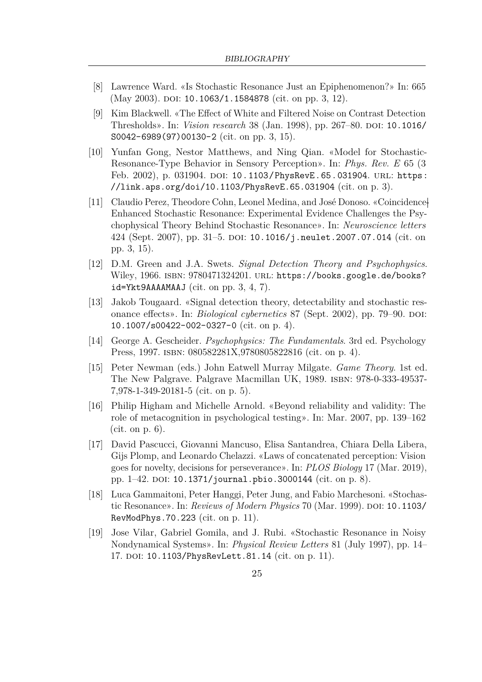- <span id="page-34-1"></span>[8] Lawrence Ward. «Is Stochastic Resonance Just an Epiphenomenon?» In: 665 (May 2003). DOI: [10.1063/1.1584878](https://doi.org/10.1063/1.1584878) (cit. on pp. [3,](#page-12-1) [12\)](#page-21-1).
- <span id="page-34-2"></span>[9] Kim Blackwell. «The Effect of White and Filtered Noise on Contrast Detection Thresholds». In: *Vision research* 38 (Jan. 1998), pp. 267–80. DOI: [10.1016/](https://doi.org/10.1016/S0042-6989(97)00130-2) [S0042-6989\(97\)00130-2](https://doi.org/10.1016/S0042-6989(97)00130-2) (cit. on pp. [3,](#page-12-1) [15\)](#page-24-0).
- <span id="page-34-3"></span>[10] Yunfan Gong, Nestor Matthews, and Ning Qian. «Model for Stochastic-Resonance-Type Behavior in Sensory Perception». In: *Phys. Rev. E* 65 (3 Feb. 2002), p. 031904. poi: [10.1103/PhysRevE.65.031904](https://doi.org/10.1103/PhysRevE.65.031904). URL: [https:](https://link.aps.org/doi/10.1103/PhysRevE.65.031904) [//link.aps.org/doi/10.1103/PhysRevE.65.031904](https://link.aps.org/doi/10.1103/PhysRevE.65.031904) (cit. on p. [3\)](#page-12-1).
- <span id="page-34-4"></span>[11] Claudio Perez, Theodore Cohn, Leonel Medina, and José Donoso. «Coincidence-Enhanced Stochastic Resonance: Experimental Evidence Challenges the Psychophysical Theory Behind Stochastic Resonance». In: *Neuroscience letters* 424 (Sept. 2007), pp. 31–5. doi: [10.1016/j.neulet.2007.07.014](https://doi.org/10.1016/j.neulet.2007.07.014) (cit. on pp. [3,](#page-12-1) [15\)](#page-24-0).
- <span id="page-34-5"></span>[12] D.M. Green and J.A. Swets. *Signal Detection Theory and Psychophysics*. Wiley, 1966. ISBN: 9780471324201. URL: [https://books.google.de/books?](https://books.google.de/books?id=Ykt9AAAAMAAJ) [id=Ykt9AAAAMAAJ](https://books.google.de/books?id=Ykt9AAAAMAAJ) (cit. on pp. [3,](#page-12-1) [4,](#page-13-1) [7\)](#page-16-1).
- <span id="page-34-6"></span>[13] Jakob Tougaard. «Signal detection theory, detectability and stochastic resonance effects». In: *Biological cybernetics* 87 (Sept. 2002), pp. 79–90. DOI: [10.1007/s00422-002-0327-0](https://doi.org/10.1007/s00422-002-0327-0) (cit. on p. [4\)](#page-13-1).
- <span id="page-34-7"></span>[14] George A. Gescheider. *Psychophysics: The Fundamentals*. 3rd ed. Psychology Press, 1997. isbn: 080582281X,9780805822816 (cit. on p. [4\)](#page-13-1).
- <span id="page-34-8"></span>[15] Peter Newman (eds.) John Eatwell Murray Milgate. *Game Theory*. 1st ed. The New Palgrave. Palgrave Macmillan UK, 1989. isbn: 978-0-333-49537- 7,978-1-349-20181-5 (cit. on p. [5\)](#page-14-1).
- <span id="page-34-0"></span>[16] Philip Higham and Michelle Arnold. «Beyond reliability and validity: The role of metacognition in psychological testing». In: Mar. 2007, pp. 139–162 (cit. on p. [6\)](#page-15-1).
- <span id="page-34-9"></span>[17] David Pascucci, Giovanni Mancuso, Elisa Santandrea, Chiara Della Libera, Gijs Plomp, and Leonardo Chelazzi. «Laws of concatenated perception: Vision goes for novelty, decisions for perseverance». In: *PLOS Biology* 17 (Mar. 2019), pp.  $1-42$ . DOI: [10.1371/journal.pbio.3000144](https://doi.org/10.1371/journal.pbio.3000144) (cit. on p. [8\)](#page-17-1).
- <span id="page-34-10"></span>[18] Luca Gammaitoni, Peter Hanggi, Peter Jung, and Fabio Marchesoni. «Stochastic Resonance». In: *Reviews of Modern Physics* 70 (Mar. 1999). DOI: [10.1103/](https://doi.org/10.1103/RevModPhys.70.223) [RevModPhys.70.223](https://doi.org/10.1103/RevModPhys.70.223) (cit. on p. [11\)](#page-20-1).
- <span id="page-34-11"></span>[19] Jose Vilar, Gabriel Gomila, and J. Rubi. «Stochastic Resonance in Noisy Nondynamical Systems». In: *Physical Review Letters* 81 (July 1997), pp. 14– 17. DOI: [10.1103/PhysRevLett.81.14](https://doi.org/10.1103/PhysRevLett.81.14) (cit. on p. [11\)](#page-20-1).